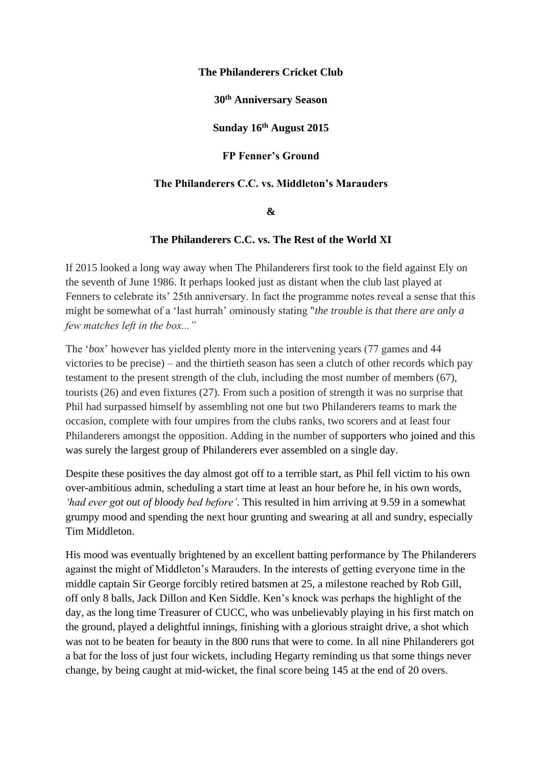## **The Philanderers Cricket Club**

**30th Anniversary Season**

**Sunday 16th August 2015**

**FP Fenner's Ground**

## **The Philanderers C.C. vs. Middleton's Marauders**

## **&**

## **The Philanderers C.C. vs. The Rest of the World XI**

If 2015 looked a long way away when The Philanderers first took to the field against Ely on the seventh of June 1986. It perhaps looked just as distant when the club last played at Fenners to celebrate its' 25th anniversary. In fact the programme notes reveal a sense that this might be somewhat of a 'last hurrah' ominously stating "*the trouble is that there are only a few matches left in the box..."*

The '*box*' however has yielded plenty more in the intervening years (77 games and 44 victories to be precise) – and the thirtieth season has seen a clutch of other records which pay testament to the present strength of the club, including the most number of members (67), tourists (26) and even fixtures (27). From such a position of strength it was no surprise that Phil had surpassed himself by assembling not one but two Philanderers teams to mark the occasion, complete with four umpires from the clubs ranks, two scorers and at least four Philanderers amongst the opposition. Adding in the number of supporters who joined and this was surely the largest group of Philanderers ever assembled on a single day.

Despite these positives the day almost got off to a terrible start, as Phil fell victim to his own over-ambitious admin, scheduling a start time at least an hour before he, in his own words, *'had ever got out of bloody bed before'*. This resulted in him arriving at 9.59 in a somewhat grumpy mood and spending the next hour grunting and swearing at all and sundry, especially Tim Middleton.

His mood was eventually brightened by an excellent batting performance by The Philanderers against the might of Middleton's Marauders. In the interests of getting everyone time in the middle captain Sir George forcibly retired batsmen at 25, a milestone reached by Rob Gill, off only 8 balls, Jack Dillon and Ken Siddle. Ken's knock was perhaps the highlight of the day, as the long time Treasurer of CUCC, who was unbelievably playing in his first match on the ground, played a delightful innings, finishing with a glorious straight drive, a shot which was not to be beaten for beauty in the 800 runs that were to come. In all nine Philanderers got a bat for the loss of just four wickets, including Hegarty reminding us that some things never change, by being caught at mid-wicket, the final score being 145 at the end of 20 overs.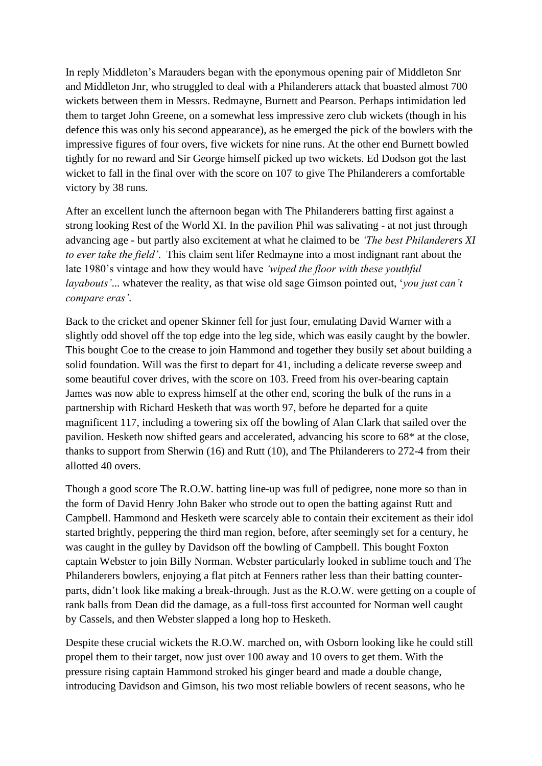In reply Middleton's Marauders began with the eponymous opening pair of Middleton Snr and Middleton Jnr, who struggled to deal with a Philanderers attack that boasted almost 700 wickets between them in Messrs. Redmayne, Burnett and Pearson. Perhaps intimidation led them to target John Greene, on a somewhat less impressive zero club wickets (though in his defence this was only his second appearance), as he emerged the pick of the bowlers with the impressive figures of four overs, five wickets for nine runs. At the other end Burnett bowled tightly for no reward and Sir George himself picked up two wickets. Ed Dodson got the last wicket to fall in the final over with the score on 107 to give The Philanderers a comfortable victory by 38 runs.

After an excellent lunch the afternoon began with The Philanderers batting first against a strong looking Rest of the World XI. In the pavilion Phil was salivating - at not just through advancing age - but partly also excitement at what he claimed to be *'The best Philanderers XI to ever take the field'*. This claim sent lifer Redmayne into a most indignant rant about the late 1980's vintage and how they would have *'wiped the floor with these youthful layabouts'*... whatever the reality, as that wise old sage Gimson pointed out, '*you just can't compare eras'*.

Back to the cricket and opener Skinner fell for just four, emulating David Warner with a slightly odd shovel off the top edge into the leg side, which was easily caught by the bowler. This bought Coe to the crease to join Hammond and together they busily set about building a solid foundation. Will was the first to depart for 41, including a delicate reverse sweep and some beautiful cover drives, with the score on 103. Freed from his over-bearing captain James was now able to express himself at the other end, scoring the bulk of the runs in a partnership with Richard Hesketh that was worth 97, before he departed for a quite magnificent 117, including a towering six off the bowling of Alan Clark that sailed over the pavilion. Hesketh now shifted gears and accelerated, advancing his score to 68\* at the close, thanks to support from Sherwin (16) and Rutt (10), and The Philanderers to 272-4 from their allotted 40 overs.

Though a good score The R.O.W. batting line-up was full of pedigree, none more so than in the form of David Henry John Baker who strode out to open the batting against Rutt and Campbell. Hammond and Hesketh were scarcely able to contain their excitement as their idol started brightly, peppering the third man region, before, after seemingly set for a century, he was caught in the gulley by Davidson off the bowling of Campbell. This bought Foxton captain Webster to join Billy Norman. Webster particularly looked in sublime touch and The Philanderers bowlers, enjoying a flat pitch at Fenners rather less than their batting counterparts, didn't look like making a break-through. Just as the R.O.W. were getting on a couple of rank balls from Dean did the damage, as a full-toss first accounted for Norman well caught by Cassels, and then Webster slapped a long hop to Hesketh.

Despite these crucial wickets the R.O.W. marched on, with Osborn looking like he could still propel them to their target, now just over 100 away and 10 overs to get them. With the pressure rising captain Hammond stroked his ginger beard and made a double change, introducing Davidson and Gimson, his two most reliable bowlers of recent seasons, who he